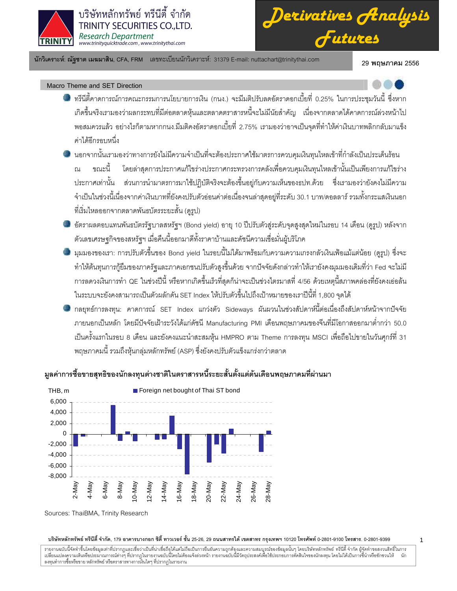

*Derivatives Analysis Futures*

นักวิเคราะห์: ณัฐชาต เมฆมาสิน, CFA, FRM แลขทะเบียนนักวิเคราะห์: 31379 E-mail: nuttachart@trinitythai.com 29 **พ** 

29 พฤษภาคม 2556

1

# Macro Theme and SET Direction

- ทรีนีตี้คาดการณ์การคณะกรรมการนโยบายการเงิน (กนง.) จะมีมติปรับลดอัตราดอกเบี้ยที่ 0.25% ในการประชุมวันนี้ ซึ่งหาก j เกิดขึ้นจริงเรามองว่าผลกระทบที่มีต่อตลาดหุ้นและตลาดตราสารหนี้จะไม่มีนัยสำคัญ เนื่องจากตลาดได้คาดการณ์ล่วงหน้าไป พอสมควรแล้ว อย่างไรก็ตามหากกนง.มีมติคงอัตราดอกเบี้ยที่ 2.75% เรามองว่าอาจเป็นจุดที่ทำให้ค่าเงินบาทพลิกกลับมาแข็ง ค่าได้อีกรอบหนึ่ง
- นอกจากนั้นเรามองว่าทางการยังไม่มีความจำเป็นที่จะต้องประกาศใช้มาตรการควบคุมเงินทุนไหลเข้าที่กำลังเป็นประเด็นร้อน ขณะนี้ โดยล่าสุดการประกาศแก้ไขร่างประกาศกระทรวงการคลังเพื่อควบคุมเงินทุนไหลเข้านั้นเป็นเพียงการแก้ไขร่าง ประกาศเท่านั้น ส่วนการนำมาตรการมาใช้ปฏิบัติจริงจะต้องขึ้นอยู่กับความเห็นของธปท.ด้วย ซึ่งเรามองว่ายังคงไม่มีความ จำเป็นในช่วงนี้เนื่องจากค่าเงินบาทที่ยังคงปรับตัวอ่อนค่าต่อเนื่องจนล่าสุดอยู่ที่ระดับ 30.1 บาท/ดอลลาร์ รวมทั้งกระแสเงินนอก ที่เริ่มไหลออกจากตลาดพันธบัตรระยะสั้น (ดูรูป)
- อัตราผลตอบแทนพันธบัตรรัฐบาลสหรัฐฯ (Bond yield) อายุ 10 ปีปรับตัวสู่ระดับจุดสูงสุดใหม่ในรอบ 14 เดือน (ดูรูป) หลังจาก ตัวเลขเศรษฐกิจของสหรัฐฯ เมื่อคืนนี้ออกมาดีทั้งราคาบ้านและดัชนีความเชื่อมั่นผู้บริโภค
- มุมมองของเรา: การปรับตัวขึ้นของ Bond yield ในรอบนี้ไม่ได้มาพร้อมกับความความเกรงกลัวเงินเฟ้อแม้แต่น้อย (ดูรูป) ซึ่งจะ ทำให้ต้นทุนการกู้ยืมของภาครัฐและภาคเอกชนปรับตัวสูงขึ้นด้วย จากปัจจัยดังกล่าวทำให้เรายังคงมุมมองเดิมที่ว่า Fed จะไม่มี การลดวงเงินการทำ QE ในช่วงปีนี้ หรือหากเกิดขึ้นเร็วที่สุดก็น่าจะเป็นช่วงไตรมาสที่ 4/56 ด้วยเหตุนี้สภาพคล่องที่ยังคงเอ่อล้น ในระบบจะยังคงสามารถเป็นตัวผลักดัน SET Index ให้ปรับตัวขึ้นไปถึงเป้าหมายของเราปีนี้ที่ 1,800 จุดได้
- กลยุทธ์การลงทุน: คาดการณ์ SET Index แกว่งตัว Sideways ผันผวนในช่วงสัปดาห์นี้ต่อเนื่องถึงสัปดาห์หน้าจากปัจจัย ภายนอกเป็นหลัก โดยมีปัจจัยเฝ้าระวังได้แก่ดัชนี Manufacturing PMI เดือนพฤษภาคมของจีนที่มีโอกาสออกมาต่ำกว่า 50.0 เป็นครั้งแรกในรอบ 8 เดือน และยังคงแนะนำสะสมหุ้น HMPRO ตาม Theme การลงทุน MSCI เพื่อถือไปขายในวันศุกร์ที่ 31 พฤษภาคมนี้ รวมถึงหุ้นกลุ่มหลักทรัพย์ (ASP) ซึ่งยังคงปรับตัวแข็งแกร่งกว่าตลาด

# มูลค่าการซื้อขายสุทธิของนักลงทุนต่างชาติในตราสารหนี้ระยะสั้นตั้งแต่ต้นเดือนพฤษภาคมที่ผ่านมา



Sources: ThaiBMA, Trinity Research

### บริษัทหลักทรัพย์ ทรีนีตี้ จำกัด, 179 อาคารบางกอก ซิตี้ ทาวเวอร์ ชั้น 25-26, 29 ถนนสาทรได้ เขตสาร กรุงเทพฯ 10120 โทรศัพท์ 0-2801-9399 คำสาร. 0-2801-9399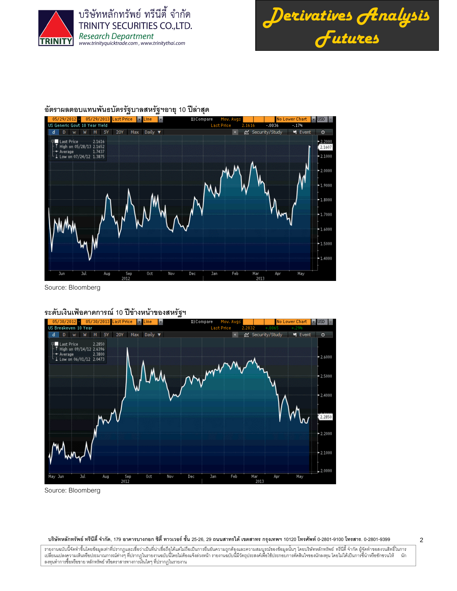



 $\overline{2}$ 

# ้อัตราผลตอบแทนพันธบัตรรัฐบาลสหรัฐฯอายุ 10 ปีล่าสุด



Source: Bloomberg

# ระดับเงินเฟ้อคาดการณ์ 10 ปีข้างหน้าของสหรัฐฯ



Source: Bloomberg

#### ี บริษัทหลักทรัพย์ ทรีนีตี้ จำกัด, 179 อาคารบางกอก ซิตี้ ทาวเวอร์ ชั้น 25-26, 29 ถนนสาทรได้ เขตสาทร กรุงเทพฯ 10120 โทรศัพท์ 0-2801-9100 โทรสาร. 0-2801-9399

รายงานฉบับนี้จัดทำขึ้นโดยข้อมูลเท่าที่ปรากฏและเชื่อว่าเป็นที่น่าเชื่อถือได้แต่ไม่ถือเป็นการยืนยันความถูกต้องและความสมบูรณ์ของข้อมูลนั้นๆ โดยบริษัทหลักทรัพย์ ทรีนีดี้ จำกัด ผู้จัดทำขอสงวนสิทธิ์ในการ ้าเขาแบบอาการในทรับประมาณการณ์ต่างๆ ที่ปรากฏในรายงานขณะนี้เพื่อแจ้งล่วงหน้า รายงานขณะนี้และการและการเขาแบบอาการ<br>เปลี่ยนแปลงความเห็นหรือประมาณการณ์ต่างๆ ที่ปรากฏในรายงานขณะนี้จะไม่ต้องแจ้งล่วงหน้า รายงานขณะนี้ที่สำคัญประกอ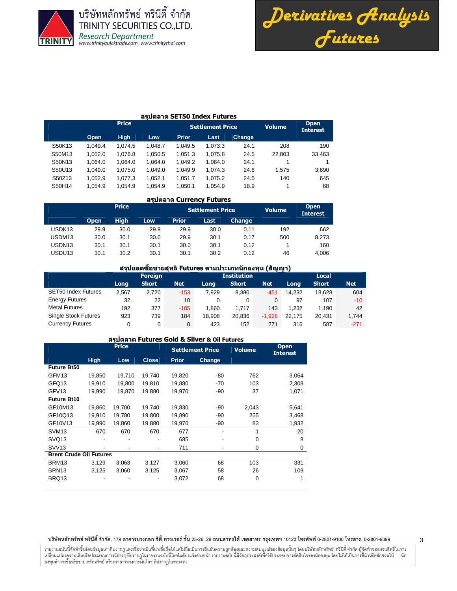



#### สรุปตลาด SET50 Index Futures

|        |         | <b>Price</b> |         |              | <b>Settlement Price</b> |               | <b>Volume</b> | <b>Open</b><br><b>Interest</b> |
|--------|---------|--------------|---------|--------------|-------------------------|---------------|---------------|--------------------------------|
|        | Open    | <b>High</b>  | Low     | <b>Prior</b> | Last                    | <b>Change</b> |               |                                |
| S50K13 | 1.049.4 | 1.074.5      | 1.048.7 | 1.049.5      | 1.073.3                 | 24.1          | 208           | 190                            |
| S50M13 | 1.052.0 | 1.076.8      | 1.050.5 | 1.051.3      | 1.075.8                 | 24.5          | 22.803        | 33,463                         |
| S50N13 | 1.064.0 | 1.064.0      | 1.064.0 | 1.049.2      | 1.064.0                 | 24.1          |               |                                |
| S50U13 | 1.049.0 | 1.075.0      | 1.049.0 | 1,049.9      | 1.074.3                 | 24.6          | 1.575         | 3,690                          |
| S50Z13 | 1.052.9 | 1,077.3      | 1.052.1 | 1,051.7      | 1.075.2                 | 24.5          | 140           | 645                            |
| S50H14 | 1.054.9 | 1.054.9      | 1.054.9 | 1,050.1      | 1,054.9                 | 18.9          |               | 68                             |

#### สรุปตลาด Currency Futures

|                    |             | <b>Price</b> |            |              | <b>Settlement Price</b> |               | <b>Volume</b> | <b>Open</b><br><b>Interest</b> |  |
|--------------------|-------------|--------------|------------|--------------|-------------------------|---------------|---------------|--------------------------------|--|
|                    | <b>Open</b> | <b>High</b>  | <b>Low</b> | <b>Prior</b> | Last                    | <b>Change</b> |               |                                |  |
| USDK13             | 29.9        | 30.0         | 29.9       | 29.9         | 30.0                    | 0.11          | 192           | 662                            |  |
| USDM <sub>13</sub> | 30.0        | 30.1         | 30.0       | 29.9         | 30.1                    | 0.17          | 500           | 8.273                          |  |
| USDN13             | 30.1        | 30.1         | 30.1       | 30.0         | 30.1                    | 0.12          |               | 160                            |  |
| USDU13             | 30.1        | 30.2         | 30.1       | 30.1         | 30.2                    | 0.12          | 46            | 4.006                          |  |

# ี สรุปยอดขี้อขายสุทธิ Futures ตามประเภทนักลงทุน (สัญญา)

|                             |       | <b>Foreign</b> | <b>Institution</b> |        |              |            | Local  |              |            |  |
|-----------------------------|-------|----------------|--------------------|--------|--------------|------------|--------|--------------|------------|--|
|                             | Long  | <b>Short</b>   | <b>Net</b>         | Long   | <b>Short</b> | <b>Net</b> | Long   | <b>Short</b> | <b>Net</b> |  |
| <b>SET50 Index Futures</b>  | 2.567 | 2.720          | $-153$             | 7.929  | 8.380        | $-451$     | 14.232 | 13.628       | 604        |  |
| <b>Energy Futures</b>       | 32    | 22             | 10                 | 0      | 0            | 0          | 97     | 107          | $-10$      |  |
| <b>Metal Futures</b>        | 192   | 377            | $-185$             | 1.860  | 1.717        | 143        | 1.232  | 1.190        | 42         |  |
| <b>Single Stock Futures</b> | 923   | 739            | 184                | 18.908 | 20.836       | $-1.928$   | 22.175 | 20.431       | 1,744      |  |
| <b>Currency Futures</b>     |       | 0              | $\mathbf{0}$       | 423    | 152          | 271        | 316    | 587          | $-271$     |  |

# สรุปตลาด Futures Gold & Silver & Oil Futures

|                                | <b>Price</b> |        |              |              | <b>Settlement Price</b> | <b>Volume</b> | <b>Open</b><br><b>Interest</b> |
|--------------------------------|--------------|--------|--------------|--------------|-------------------------|---------------|--------------------------------|
|                                | <b>High</b>  | Low    | <b>Close</b> | <b>Prior</b> | Change                  |               |                                |
| <b>Future Bt50</b>             |              |        |              |              |                         |               |                                |
| GFM <sub>13</sub>              | 19,850       | 19,710 | 19,740       | 19,820       | -80                     | 762           | 3,064                          |
| GFQ13                          | 19.910       | 19,800 | 19,810       | 19,880       | $-70$                   | 103           | 2,308                          |
| GFV <sub>13</sub>              | 19,990       | 19,870 | 19,880       | 19,970       | -90                     | 37            | 1,071                          |
| <b>Future Bt10</b>             |              |        |              |              |                         |               |                                |
| GF10M13                        | 19,860       | 19,700 | 19,740       | 19,830       | -90                     | 2,043         | 5,641                          |
| GF10Q13                        | 19.910       | 19,780 | 19,800       | 19,890       | -90                     | 255           | 3,468                          |
| GF10V13                        | 19,990       | 19,860 | 19,880       | 19,970       | -90                     | 83            | 1,932                          |
| SVM <sub>13</sub>              | 670          | 670    | 670          | 677          |                         | 1             | 20                             |
| SVQ <sub>13</sub>              |              |        |              | 685          |                         | 0             | 8                              |
| SVV <sub>13</sub>              |              |        | ۰            | 711          |                         | 0             | 0                              |
| <b>Brent Crude Oil Futures</b> |              |        |              |              |                         |               |                                |
| BRM <sub>13</sub>              | 3.129        | 3,063  | 3,127        | 3,060        | 68                      | 103           | 331                            |
| BRN <sub>13</sub>              | 3,125        | 3,060  | 3,125        | 3,067        | 58                      | 26            | 109                            |
| BRQ13                          |              |        |              | 3,072        | 68                      |               |                                |

#### บริษัทหลักทรัพย์ ทรีนีตี้ จำกัด, 179 อาคารบางกอก ซิตี้ ทาวเวอร์ ชั้น 25-26, 29 ถนนสาทรได้ เขตสาร กรุงเทพฯ 10120 โทรศัพท์ 0-2801-9399 คำสาร. 0-2801-9399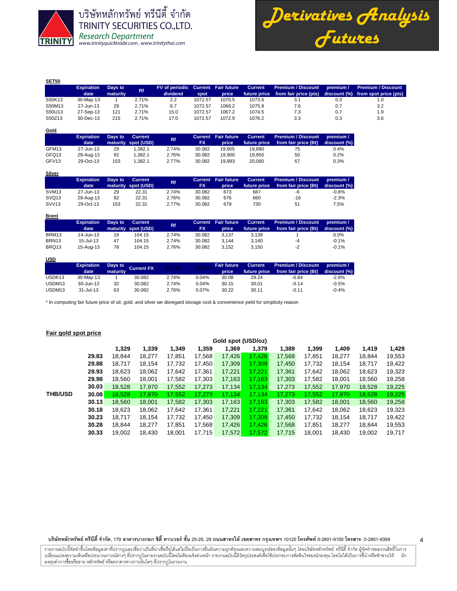

*Derivatives Analysis Futures*

| SET50  |                   |          |           |                                    |         |        |                |                           |           |                                    |
|--------|-------------------|----------|-----------|------------------------------------|---------|--------|----------------|---------------------------|-----------|------------------------------------|
|        | <b>Expiration</b> | Days to  | <b>Rf</b> | FV of periodic Current Fair future |         |        | <b>Current</b> | <b>Premium / Discount</b> | premium / | <b>Premium / Discount</b>          |
|        | date              | maturity |           | dividend                           | spot    | price  | future price   | from fair price (pts)     |           | discount (%) from spot price (pts) |
| S50K13 | 30-May-13         |          | 2.71%     | 2.2                                | 1072.57 | 1070.5 | 1073.6         | 3.1                       | 0.3       | 1.0                                |
| S50M13 | 27-Jun-13         | 29       | 2.71%     | 6.7                                | 1072.57 | 1068.2 | 1075.8         | 7.6                       | 0.7       | 3.2                                |
| S50U13 | 27-Sep-13         | 121      | 2.71%     | 15.0                               | 1072.57 | 1067.2 | 1074.5         | 7.3                       | 0.7       | 1.9                                |
| S50Z13 | 30-Dec-13         | 215      | 2.71%     | 17.0                               | 1072.57 | 1072.9 | 1076.2         | 3.3                       | 0.3       | 3.6                                |

| Gold              |                   |         |                     |           |           |                            |                |                           |              |
|-------------------|-------------------|---------|---------------------|-----------|-----------|----------------------------|----------------|---------------------------|--------------|
|                   | <b>Expiration</b> | Days to | <b>Current</b>      | <b>Rf</b> |           | <b>Current Fair future</b> | <b>Current</b> | <b>Premium / Discount</b> | premium /    |
|                   | date              |         | maturity spot (USD) |           | <b>FX</b> | price                      | future price   | from fair price (Bt)      | discount (%) |
| GFM13             | 27-Jun-13         | 29      | 1.382.1             | 2.74%     | 30.082    | 19.805                     | 19.880         | 75                        | 0.4%         |
| GFQ13             | 29-Aug-13         | 92      | 1.382.1             | 2.76%     | 30.082    | 19.900                     | 19.950         | 50                        | 0.2%         |
| GFV <sub>13</sub> | 29-Oct-13         | 153     | 1.382.1             | 2.77%     | 30.082    | 19.993                     | 20.060         | 67                        | 0.3%         |

|                   | <b>Expiration</b><br>date | Days to | <b>Current</b><br>maturity spot (USD) | Rf.   | Current<br>FX | <b>Fair future</b><br>price | <b>Current</b><br>future price | Premium / Discount<br>from fair price (Bt) | $\blacksquare$ premium /<br>discount (%) |
|-------------------|---------------------------|---------|---------------------------------------|-------|---------------|-----------------------------|--------------------------------|--------------------------------------------|------------------------------------------|
| SVM <sub>13</sub> | 27-Jun-13                 | 29      | 22.31                                 | 2.74% | 30.082        | 673                         | 667                            | -6                                         | $-0.8%$                                  |
| SVQ <sub>13</sub> | 29-Aug-13                 | 92      | 22.31                                 | 2.76% | 30.082        | 676                         | 660                            | -16                                        | $-2.3%$                                  |
| SVV <sub>13</sub> | 29-Oct-13                 | 153     | 22.31                                 | 2.77% | 30.082        | 679                         | 730                            | 51                                         | 7.5%                                     |

| <u>Brent</u>      |                   |         |                     |       |           |                            |                |                      |              |
|-------------------|-------------------|---------|---------------------|-------|-----------|----------------------------|----------------|----------------------|--------------|
|                   | <b>Expiration</b> | Days to | <b>Current</b>      | Rf.   |           | <b>Current</b> Fair future | <b>Current</b> | Premium / Discount   | premium /    |
|                   | date              |         | maturity spot (USD) |       | <b>FX</b> | price                      | future price   | from fair price (Bt) | discount (%) |
| BRM13             | 14-Jun-13         | 16      | 104.15              | 2.74% | 30.082    | 3.137                      | 3.138          |                      | $0.0\%$      |
| BRN <sub>13</sub> | $15 -$ Jul-13     | 47      | 104.15              | 2.74% | 30.082    | 3.144                      | 3.140          | -4                   | $-0.1%$      |
| BRQ13             | 15-Aug-13         | 78      | 104.15              | 2.76% | 30.082    | 3.152                      | 3.150          | $-2$                 | $-0.1%$      |

# **USD**

|                    | <b>Expiration</b><br>date | maturity | Days to Current FX | TH1YY | US1YY | <b>Fair future</b><br>price | <b>Current</b><br>future price | Premium / Discount<br>from fair price (Bt) | premium /<br>discount (%) |
|--------------------|---------------------------|----------|--------------------|-------|-------|-----------------------------|--------------------------------|--------------------------------------------|---------------------------|
| USDK <sub>13</sub> | 30-May-13                 |          | 30.082             | 2.74% | 0.04% | 30.08                       | 29.24                          | $-0.84$                                    | $-2.8%$                   |
| USDM <sub>13</sub> | 30-Jun-13                 | 32       | 30.082             | 2.74% | 0.04% | 30.15                       | 30.01                          | $-0.14$                                    | $-0.5%$                   |
| USDM <sub>13</sub> | $31 -$ Jul-13             | 63       | 30.082             | 2.76% | 0.07% | 30.22                       | 30.11                          | $-0.11$                                    | $-0.4%$                   |

\* In computing fair future price of oil, gold, and silver we disregard storage cost & convenience yield for simplicity reason

## **Fair gold spot price**

|                |       | Gold spot (USD/oz) |        |        |        |        |        |        |        |        |        |        |  |  |  |
|----------------|-------|--------------------|--------|--------|--------|--------|--------|--------|--------|--------|--------|--------|--|--|--|
|                |       | 1.329              | 1,339  | 1,349  | 1,359  | 1,369  | 1.379  | 1.389  | 1.399  | 1,409  | 1,419  | 1,429  |  |  |  |
|                | 29.83 | 18.844             | 18.277 | 17.851 | 17,568 | 17.426 | 17.426 | 17.568 | 17.851 | 18.277 | 18.844 | 19,553 |  |  |  |
|                | 29.88 | 18,717             | 18.154 | 17,732 | 17.450 | 17,309 | 17,309 | 17.450 | 17.732 | 18,154 | 18.717 | 19,422 |  |  |  |
|                | 29.93 | 18.623             | 18,062 | 17.642 | 17,361 | 17,221 | 17.221 | 17,361 | 17,642 | 18,062 | 18,623 | 19,323 |  |  |  |
|                | 29.98 | 18.560             | 18.001 | 17,582 | 17,303 | 17,163 | 17.163 | 17,303 | 17,582 | 18,001 | 18,560 | 19,258 |  |  |  |
|                | 30.03 | 18,528             | 17,970 | 17,552 | 17,273 | 17,134 | 17.134 | 17,273 | 17,552 | 17.970 | 18,528 | 19,225 |  |  |  |
| <b>THB/USD</b> | 30.08 | 18.528             | 17.970 | 17,552 | 17.273 | 17,134 | 17.134 | 17.273 | 17,552 | 17.970 | 18,528 | 19,225 |  |  |  |
|                | 30.13 | 18.560             | 18,001 | 17,582 | 17,303 | 17,163 | 17,163 | 17,303 | 17,582 | 18.001 | 18,560 | 19,258 |  |  |  |
|                | 30.18 | 18.623             | 18,062 | 17,642 | 17,361 | 17.221 | 17.221 | 17.361 | 17.642 | 18,062 | 18,623 | 19,323 |  |  |  |
|                | 30.23 | 18.717             | 18.154 | 17,732 | 17,450 | 17,309 | 17.309 | 17.450 | 17,732 | 18,154 | 18,717 | 19,422 |  |  |  |
|                | 30.28 | 18.844             | 18.277 | 17.851 | 17.568 | 17,426 | 17.426 | 17.568 | 17.851 | 18.277 | 18.844 | 19,553 |  |  |  |
|                | 30.33 | 19.002             | 18,430 | 18.001 | 17,715 | 17,572 | 17.572 | 17.715 | 18.001 | 18.430 | 19.002 | 19.717 |  |  |  |

บริษัทหลักทรัพย์ ทรีนีตี้ จำกัด, 179 อาคารบางกอก ซิตี้ ทาวเวอร์ ชั้น 25-26, 29 ถนนสาทรได้ เขตสาร กรุงเทพฯ 10120 โทรศัพท์ 0-2801-9399 คำสาร. 0-2801-9399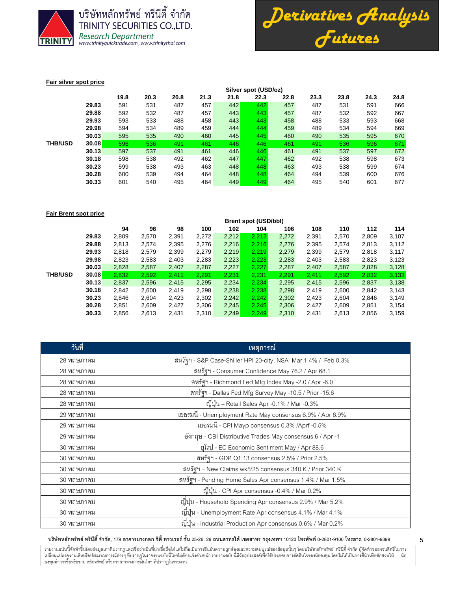



5

### **Fair silver spot price**

|                |       | Silver spot (USD/oz) |      |      |      |      |      |      |      |      |      |      |  |  |
|----------------|-------|----------------------|------|------|------|------|------|------|------|------|------|------|--|--|
|                |       | 19.8                 | 20.3 | 20.8 | 21.3 | 21.8 | 22.3 | 22.8 | 23.3 | 23.8 | 24.3 | 24.8 |  |  |
|                | 29.83 | 591                  | 531  | 487  | 457  | 442  | 442  | 457  | 487  | 531  | 591  | 666  |  |  |
|                | 29.88 | 592                  | 532  | 487  | 457  | 443  | 443  | 457  | 487  | 532  | 592  | 667  |  |  |
|                | 29.93 | 593                  | 533  | 488  | 458  | 443  | 443  | 458  | 488  | 533  | 593  | 668  |  |  |
|                | 29.98 | 594                  | 534  | 489  | 459  | 444  | 444  | 459  | 489  | 534  | 594  | 669  |  |  |
|                | 30.03 | 595                  | 535  | 490  | 460  | 445  | 445  | 460  | 490  | 535  | 595  | 670  |  |  |
| <b>THB/USD</b> | 30.08 | 596                  | 536  | 491  | 461  | 446  | 446  | 461  | 491  | 536  | 596  | 671  |  |  |
|                | 30.13 | 597                  | 537  | 491  | 461  | 446  | 446  | 461  | 491  | 537  | 597  | 672  |  |  |
|                | 30.18 | 598                  | 538  | 492  | 462  | 447  | 447  | 462  | 492  | 538  | 598  | 673  |  |  |
|                | 30.23 | 599                  | 538  | 493  | 463  | 448  | 448  | 463  | 493  | 538  | 599  | 674  |  |  |
|                | 30.28 | 600                  | 539  | 494  | 464  | 448  | 448  | 464  | 494  | 539  | 600  | 676  |  |  |
|                | 30.33 | 601                  | 540  | 495  | 464  | 449  | 449  | 464  | 495  | 540  | 601  | 677  |  |  |

### **Fair Brent spot price**

|                |       | <b>Brent spot (USD/bbl)</b> |       |       |       |       |       |       |       |       |       |       |
|----------------|-------|-----------------------------|-------|-------|-------|-------|-------|-------|-------|-------|-------|-------|
|                |       | 94                          | 96    | 98    | 100   | 102   | 104   | 106   | 108   | 110   | 112   | 114   |
|                | 29.83 | 2,809                       | 2,570 | 2,391 | 2,272 | 2,212 | 2,212 | 2,272 | 2,391 | 2,570 | 2,809 | 3,107 |
|                | 29.88 | 2,813                       | 2,574 | 2,395 | 2,276 | 2,216 | 2,216 | 2,276 | 2,395 | 2,574 | 2,813 | 3,112 |
|                | 29.93 | 2,818                       | 2,579 | 2,399 | 2,279 | 2,219 | 2,219 | 2,279 | 2,399 | 2,579 | 2,818 | 3,117 |
|                | 29.98 | 2,823                       | 2,583 | 2,403 | 2,283 | 2,223 | 2,223 | 2,283 | 2,403 | 2,583 | 2,823 | 3,123 |
|                | 30.03 | 2,828                       | 2,587 | 2,407 | 2,287 | 2,227 | 2,227 | 2,287 | 2,407 | 2,587 | 2,828 | 3,128 |
| <b>THB/USD</b> | 30.08 | 2,832                       | 2,592 | 2,411 | 2,291 | 2,231 | 2,231 | 2,291 | 2,411 | 2,592 | 2,832 | 3,133 |
|                | 30.13 | 2,837                       | 2,596 | 2,415 | 2,295 | 2,234 | 2,234 | 2,295 | 2,415 | 2,596 | 2,837 | 3,138 |
|                | 30.18 | 2,842                       | 2,600 | 2,419 | 2,298 | 2,238 | 2,238 | 2,298 | 2.419 | 2,600 | 2,842 | 3,143 |
|                | 30.23 | 2,846                       | 2,604 | 2,423 | 2,302 | 2,242 | 2,242 | 2,302 | 2,423 | 2,604 | 2,846 | 3,149 |
|                | 30.28 | 2,851                       | 2,609 | 2,427 | 2,306 | 2,245 | 2,245 | 2,306 | 2,427 | 2,609 | 2,851 | 3,154 |
|                | 30.33 | 2,856                       | 2,613 | 2,431 | 2,310 | 2,249 | 2,249 | 2,310 | 2,431 | 2,613 | 2,856 | 3,159 |
|                |       |                             |       |       |       |       |       |       |       |       |       |       |

| วันที่     | ้เหตุการณ์                                                     |
|------------|----------------------------------------------------------------|
| 28 พฤษภาคม | สหรัฐฯ - S&P Case-Shiller HPI 20-city, NSA Mar 1.4% / Feb 0.3% |
| 28 พฤษภาคม | สหรัฐฯ - Consumer Confidence May 76.2 / Apr 68.1               |
| 28 พฤษภาคม | สหรัฐฯ - Richmond Fed Mfg Index May -2.0 / Apr -6.0            |
| 28 พฤษภาคม | สหรัฐฯ - Dallas Fed Mfg Survey May -10.5 / Prior -15.6         |
| 28 พฤษภาคม | ญี่ปุ่น – Retail Sales Apr -0.1% / Mar -0.3%                   |
| 29 พฤษภาคม | เยอรมนี - Unemployment Rate May consensus 6.9% / Apr 6.9%      |
| 29 พฤษภาคม | เยอรมนี - CPI Mayp consensus 0.3% /Aprf -0.5%                  |
| 29 พฤษภาคม | อังกฤษ - CBI Distributive Trades May consensus 6 / Apr -1      |
| 30 พฤษภาคม | ยุโรป - EC Economic Sentiment May / Apr 88.6                   |
| 30 พฤษภาคม | สหรัฐฯ - GDP Q1:13 consensus 2.5% / Prior 2.5%                 |
| 30 พฤษภาคม | สหรัฐฯ – New Claims wk5/25 consensus 340 K / Prior 340 K       |
| 30 พฤษภาคม | สหรัฐฯ - Pending Home Sales Apr consensus 1.4% / Mar 1.5%      |
| 30 พฤษภาคม | ญี่ปุ่น - CPI Apr consensus -0.4% / Mar 0.2%                   |
| 30 พฤษภาคม | ญี่ปุ่น - Household Spending Apr consensus 2.9% / Mar 5.2%     |
| 30 พฤษภาคม | ญี่ปุ่น - Unemployment Rate Apr consensus 4.1% / Mar 4.1%      |
| 30 พฤษภาคม | ญี่ปุ่น - Industrial Production Apr consensus 0.6% / Mar 0.2%  |

# บริษัทหลักทรัพย์ ทรีนีตี้ จำกัด, 179 อาคารบางกอก ซิตี้ ทาวเวอร์ ชั้น 25-26, 29 ถนนสาทรได้ เขตสาร กรุงเทพฯ 10120 โทรศัพท์ 0-2801-9399 คำสาร. 0-2801-9399